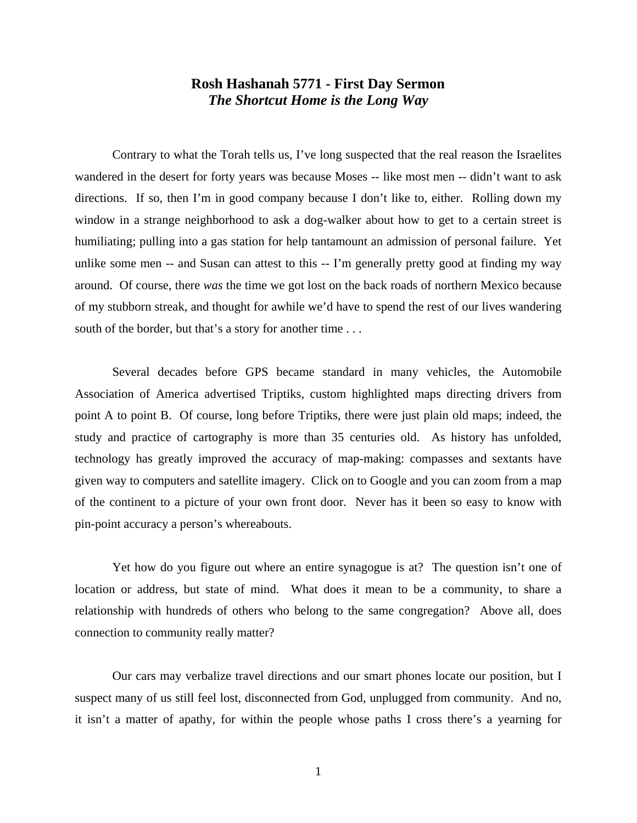## **Rosh Hashanah 5771 - First Day Sermon** *The Shortcut Home is the Long Way*

Contrary to what the Torah tells us, I've long suspected that the real reason the Israelites wandered in the desert for forty years was because Moses -- like most men -- didn't want to ask directions. If so, then I'm in good company because I don't like to, either. Rolling down my window in a strange neighborhood to ask a dog-walker about how to get to a certain street is humiliating; pulling into a gas station for help tantamount an admission of personal failure. Yet unlike some men -- and Susan can attest to this -- I'm generally pretty good at finding my way around. Of course, there *was* the time we got lost on the back roads of northern Mexico because of my stubborn streak, and thought for awhile we'd have to spend the rest of our lives wandering south of the border, but that's a story for another time . . .

Several decades before GPS became standard in many vehicles, the Automobile Association of America advertised Triptiks, custom highlighted maps directing drivers from point A to point B. Of course, long before Triptiks, there were just plain old maps; indeed, the study and practice of cartography is more than 35 centuries old. As history has unfolded, technology has greatly improved the accuracy of map-making: compasses and sextants have given way to computers and satellite imagery. Click on to Google and you can zoom from a map of the continent to a picture of your own front door. Never has it been so easy to know with pin-point accuracy a person's whereabouts.

Yet how do you figure out where an entire synagogue is at? The question isn't one of location or address, but state of mind. What does it mean to be a community, to share a relationship with hundreds of others who belong to the same congregation? Above all, does connection to community really matter?

Our cars may verbalize travel directions and our smart phones locate our position, but I suspect many of us still feel lost, disconnected from God, unplugged from community. And no, it isn't a matter of apathy, for within the people whose paths I cross there's a yearning for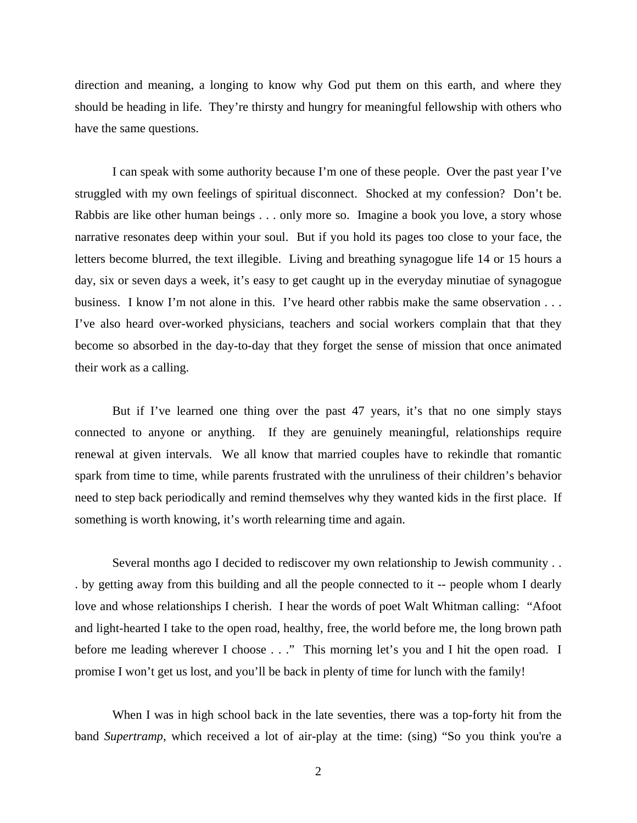direction and meaning, a longing to know why God put them on this earth, and where they should be heading in life. They're thirsty and hungry for meaningful fellowship with others who have the same questions.

I can speak with some authority because I'm one of these people. Over the past year I've struggled with my own feelings of spiritual disconnect. Shocked at my confession? Don't be. Rabbis are like other human beings . . . only more so. Imagine a book you love, a story whose narrative resonates deep within your soul. But if you hold its pages too close to your face, the letters become blurred, the text illegible. Living and breathing synagogue life 14 or 15 hours a day, six or seven days a week, it's easy to get caught up in the everyday minutiae of synagogue business. I know I'm not alone in this. I've heard other rabbis make the same observation . . . I've also heard over-worked physicians, teachers and social workers complain that that they become so absorbed in the day-to-day that they forget the sense of mission that once animated their work as a calling.

But if I've learned one thing over the past 47 years, it's that no one simply stays connected to anyone or anything. If they are genuinely meaningful, relationships require renewal at given intervals. We all know that married couples have to rekindle that romantic spark from time to time, while parents frustrated with the unruliness of their children's behavior need to step back periodically and remind themselves why they wanted kids in the first place. If something is worth knowing, it's worth relearning time and again.

Several months ago I decided to rediscover my own relationship to Jewish community . . . by getting away from this building and all the people connected to it -- people whom I dearly love and whose relationships I cherish. I hear the words of poet Walt Whitman calling: "Afoot and light-hearted I take to the open road, healthy, free, the world before me, the long brown path before me leading wherever I choose . . ." This morning let's you and I hit the open road. I promise I won't get us lost, and you'll be back in plenty of time for lunch with the family!

When I was in high school back in the late seventies, there was a top-forty hit from the band *Supertramp*, which received a lot of air-play at the time: (sing) "So you think you're a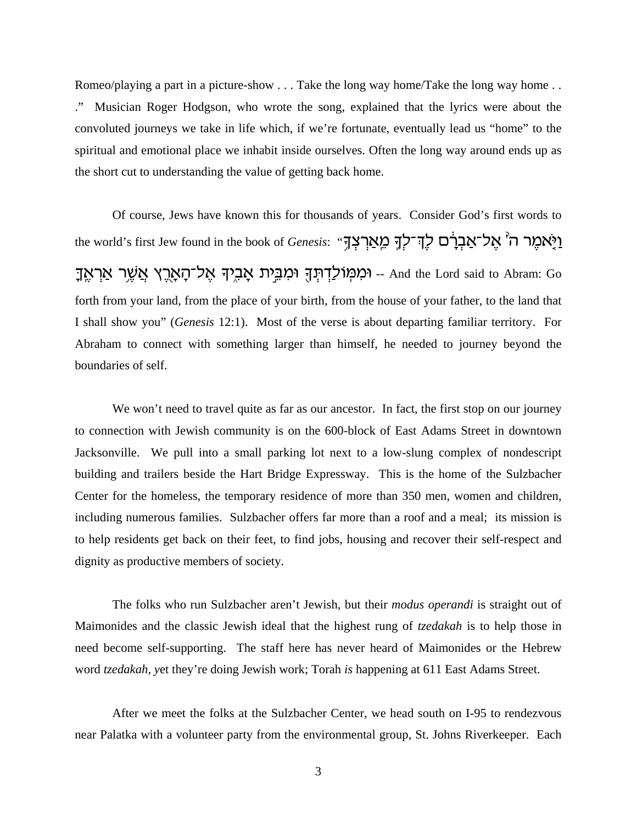Romeo/playing a part in a picture-show . . . Take the long way home/Take the long way home . . ." Musician Roger Hodgson, who wrote the song, explained that the lyrics were about the convoluted journeys we take in life which, if we're fortunate, eventually lead us "home" to the spiritual and emotional place we inhabit inside ourselves. Often the long way around ends up as the short cut to understanding the value of getting back home.

Of course, Jews have known this for thousands of years. Consider God's first words to the world's first Jew found in the book of *Genesis*: "מָאֲרָצְךָ מֵאֲרְצְדָ ַ נְמְבִית אָבִיךְ אֶל־הָאָרֶץ אֲשֶׁר אַרְאֶךָ .And the Lord said to Abram: Go forth from your land, from the place of your birth, from the house of your father, to the land that I shall show you" (*Genesis* 12:1). Most of the verse is about departing familiar territory. For Abraham to connect with something larger than himself, he needed to journey beyond the boundaries of self.

We won't need to travel quite as far as our ancestor. In fact, the first stop on our journey to connection with Jewish community is on the 600-block of East Adams Street in downtown Jacksonville. We pull into a small parking lot next to a low-slung complex of nondescript building and trailers beside the Hart Bridge Expressway. This is the home of the Sulzbacher Center for the homeless, the temporary residence of more than 350 men, women and children, including numerous families. Sulzbacher offers far more than a roof and a meal; its mission is to help residents get back on their feet, to find jobs, housing and recover their self-respect and dignity as productive members of society.

The folks who run Sulzbacher aren't Jewish, but their *modus operandi* is straight out of Maimonides and the classic Jewish ideal that the highest rung of *tzedakah* is to help those in need become self-supporting. The staff here has never heard of Maimonides or the Hebrew word *tzedakah, y*et they're doing Jewish work; Torah *is* happening at 611 East Adams Street.

After we meet the folks at the Sulzbacher Center, we head south on I-95 to rendezvous near Palatka with a volunteer party from the environmental group, St. Johns Riverkeeper. Each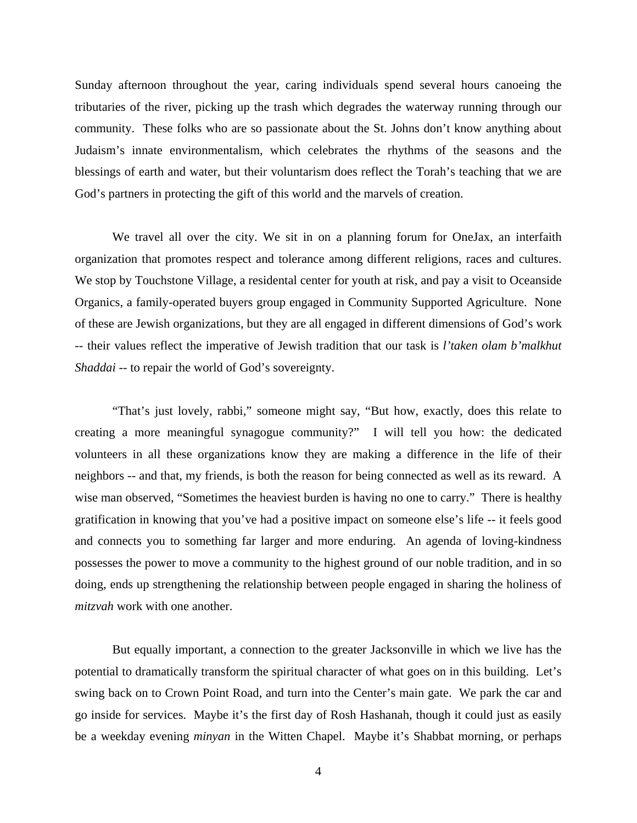Sunday afternoon throughout the year, caring individuals spend several hours canoeing the tributaries of the river, picking up the trash which degrades the waterway running through our community. These folks who are so passionate about the St. Johns don't know anything about Judaism's innate environmentalism, which celebrates the rhythms of the seasons and the blessings of earth and water, but their voluntarism does reflect the Torah's teaching that we are God's partners in protecting the gift of this world and the marvels of creation.

We travel all over the city. We sit in on a planning forum for OneJax, an interfaith organization that promotes respect and tolerance among different religions, races and cultures. We stop by Touchstone Village, a residental center for youth at risk, and pay a visit to Oceanside Organics, a family-operated buyers group engaged in Community Supported Agriculture. None of these are Jewish organizations, but they are all engaged in different dimensions of God's work -- their values reflect the imperative of Jewish tradition that our task is *l'taken olam b'malkhut Shaddai* -- to repair the world of God's sovereignty.

"That's just lovely, rabbi," someone might say, "But how, exactly, does this relate to creating a more meaningful synagogue community?" I will tell you how: the dedicated volunteers in all these organizations know they are making a difference in the life of their neighbors -- and that, my friends, is both the reason for being connected as well as its reward. A wise man observed, "Sometimes the heaviest burden is having no one to carry." There is healthy gratification in knowing that you've had a positive impact on someone else's life -- it feels good and connects you to something far larger and more enduring. An agenda of loving-kindness possesses the power to move a community to the highest ground of our noble tradition, and in so doing, ends up strengthening the relationship between people engaged in sharing the holiness of *mitzvah* work with one another.

But equally important, a connection to the greater Jacksonville in which we live has the potential to dramatically transform the spiritual character of what goes on in this building. Let's swing back on to Crown Point Road, and turn into the Center's main gate. We park the car and go inside for services. Maybe it's the first day of Rosh Hashanah, though it could just as easily be a weekday evening *minyan* in the Witten Chapel. Maybe it's Shabbat morning, or perhaps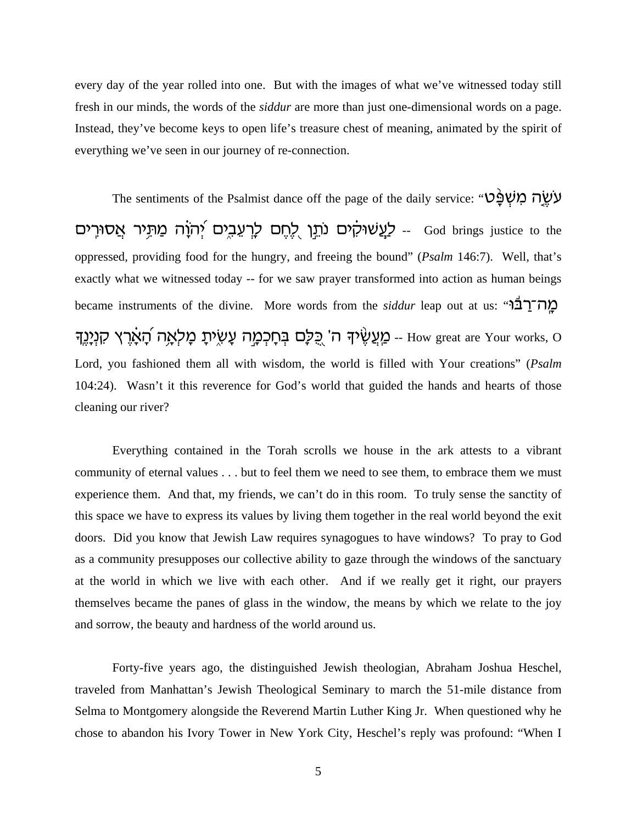every day of the year rolled into one. But with the images of what we've witnessed today still fresh in our minds, the words of the *siddur* are more than just one-dimensional words on a page. Instead, they've become keys to open life's treasure chest of meaning, animated by the spirit of everything we've seen in our journey of re-connection.

The sentiments of the Psalmist dance off the page of the daily service: "עֹשֶׂךָ מְשִׁפָּ יהוֹה מַתְּיר אַסוּרֵים - לַעֲשׁוּקִים נֹתֵן לְחֵם לָרַעֲבִים יִהוָֹה מַתְּיר אֲסוּרֵים -- God brings justice to the oppressed, providing food for the hungry, and freeing the bound" (*Psalm* 146:7). Well, that's exactly what we witnessed today -- for we saw prayer transformed into action as human beings became instruments of the divine. More words from the *siddur* leap out at us: "מה־רַבּ<sup>וֹ</sup> ַ אֲצֶרֵץ קִנְיָנֵךְ (עֵעֲשָׂיךָ ה' כֻּלָּם בִּחָכְמֶה עָשָׂיתָ מָלְאֶה הָאָרֵץ קִנְיָנֵךְ -- How great are Your works, O Lord, you fashioned them all with wisdom, the world is filled with Your creations" (*Psalm* 104:24). Wasn't it this reverence for God's world that guided the hands and hearts of those cleaning our river?

Everything contained in the Torah scrolls we house in the ark attests to a vibrant community of eternal values . . . but to feel them we need to see them, to embrace them we must experience them. And that, my friends, we can't do in this room. To truly sense the sanctity of this space we have to express its values by living them together in the real world beyond the exit doors. Did you know that Jewish Law requires synagogues to have windows? To pray to God as a community presupposes our collective ability to gaze through the windows of the sanctuary at the world in which we live with each other. And if we really get it right, our prayers themselves became the panes of glass in the window, the means by which we relate to the joy and sorrow, the beauty and hardness of the world around us.

Forty-five years ago, the distinguished Jewish theologian, Abraham Joshua Heschel, traveled from Manhattan's Jewish Theological Seminary to march the 51-mile distance from Selma to Montgomery alongside the Reverend Martin Luther King Jr. When questioned why he chose to abandon his Ivory Tower in New York City, Heschel's reply was profound: "When I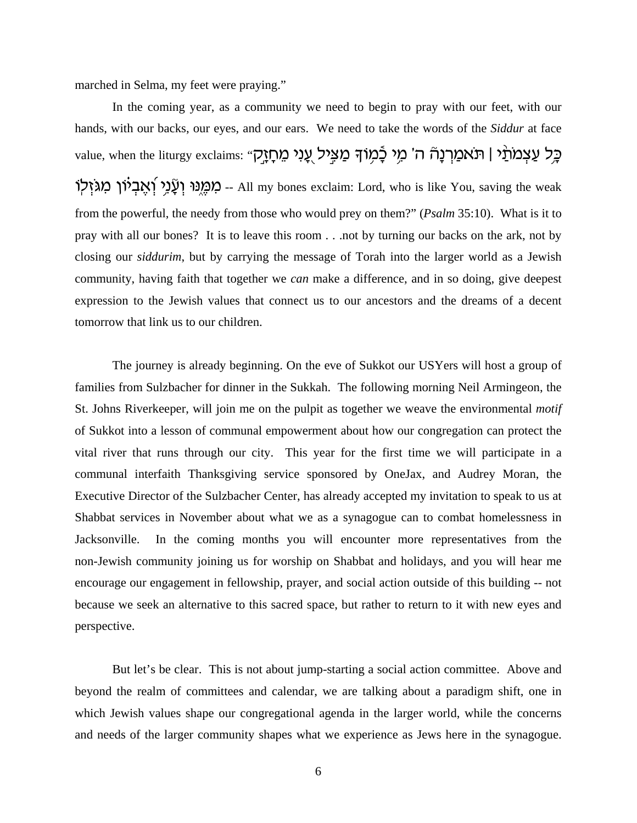marched in Selma, my feet were praying."

In the coming year, as a community we need to begin to pray with our feet, with our hands, with our backs, our eyes, and our ears. We need to take the words of the *Siddur* at face value, when the liturgy exclaims: "בְּל עַצְמֹתַיׁן (תֹאמַךְנָהׁ ה' מֵי בָֿמִוֹךָ מַצְיל עֻנִי מֵתְזֶק מְמֵנִי וְעֲנֵי וְאֲבִיוֹן מִגּזִלְוֹ All my bones exclaim: Lord, who is like You, saving the weak from the powerful, the needy from those who would prey on them?" (*Psalm* 35:10). What is it to pray with all our bones? It is to leave this room . . .not by turning our backs on the ark, not by closing our *siddurim*, but by carrying the message of Torah into the larger world as a Jewish community, having faith that together we *can* make a difference, and in so doing, give deepest expression to the Jewish values that connect us to our ancestors and the dreams of a decent tomorrow that link us to our children.

The journey is already beginning. On the eve of Sukkot our USYers will host a group of families from Sulzbacher for dinner in the Sukkah. The following morning Neil Armingeon, the St. Johns Riverkeeper, will join me on the pulpit as together we weave the environmental *motif* of Sukkot into a lesson of communal empowerment about how our congregation can protect the vital river that runs through our city. This year for the first time we will participate in a communal interfaith Thanksgiving service sponsored by OneJax, and Audrey Moran, the Executive Director of the Sulzbacher Center, has already accepted my invitation to speak to us at Shabbat services in November about what we as a synagogue can to combat homelessness in Jacksonville. In the coming months you will encounter more representatives from the non-Jewish community joining us for worship on Shabbat and holidays, and you will hear me encourage our engagement in fellowship, prayer, and social action outside of this building -- not because we seek an alternative to this sacred space, but rather to return to it with new eyes and perspective.

But let's be clear. This is not about jump-starting a social action committee. Above and beyond the realm of committees and calendar, we are talking about a paradigm shift, one in which Jewish values shape our congregational agenda in the larger world, while the concerns and needs of the larger community shapes what we experience as Jews here in the synagogue.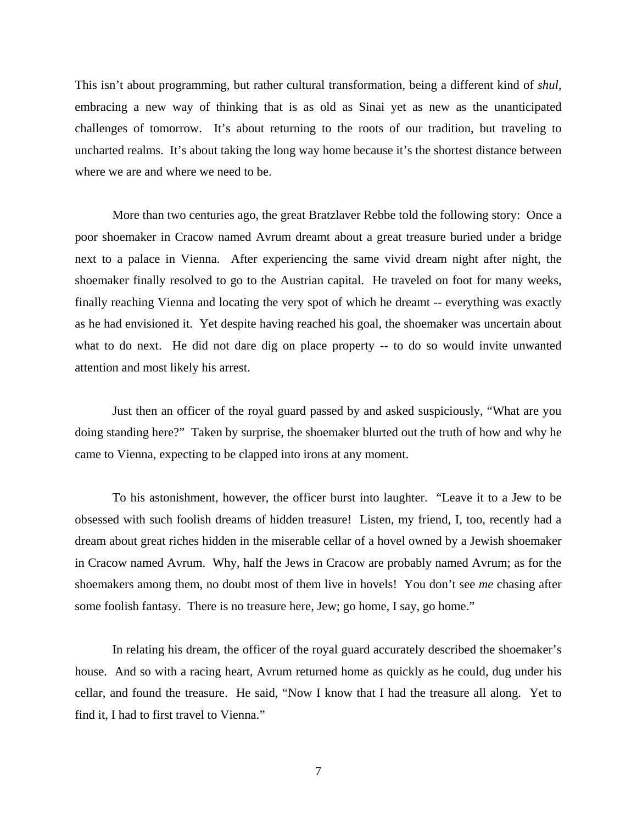This isn't about programming, but rather cultural transformation, being a different kind of *shul*, embracing a new way of thinking that is as old as Sinai yet as new as the unanticipated challenges of tomorrow. It's about returning to the roots of our tradition, but traveling to uncharted realms. It's about taking the long way home because it's the shortest distance between where we are and where we need to be.

More than two centuries ago, the great Bratzlaver Rebbe told the following story: Once a poor shoemaker in Cracow named Avrum dreamt about a great treasure buried under a bridge next to a palace in Vienna. After experiencing the same vivid dream night after night, the shoemaker finally resolved to go to the Austrian capital. He traveled on foot for many weeks, finally reaching Vienna and locating the very spot of which he dreamt -- everything was exactly as he had envisioned it. Yet despite having reached his goal, the shoemaker was uncertain about what to do next. He did not dare dig on place property -- to do so would invite unwanted attention and most likely his arrest.

Just then an officer of the royal guard passed by and asked suspiciously, "What are you doing standing here?" Taken by surprise, the shoemaker blurted out the truth of how and why he came to Vienna, expecting to be clapped into irons at any moment.

To his astonishment, however, the officer burst into laughter. "Leave it to a Jew to be obsessed with such foolish dreams of hidden treasure! Listen, my friend, I, too, recently had a dream about great riches hidden in the miserable cellar of a hovel owned by a Jewish shoemaker in Cracow named Avrum. Why, half the Jews in Cracow are probably named Avrum; as for the shoemakers among them, no doubt most of them live in hovels! You don't see *me* chasing after some foolish fantasy. There is no treasure here, Jew; go home, I say, go home."

In relating his dream, the officer of the royal guard accurately described the shoemaker's house. And so with a racing heart, Avrum returned home as quickly as he could, dug under his cellar, and found the treasure. He said, "Now I know that I had the treasure all along. Yet to find it, I had to first travel to Vienna."